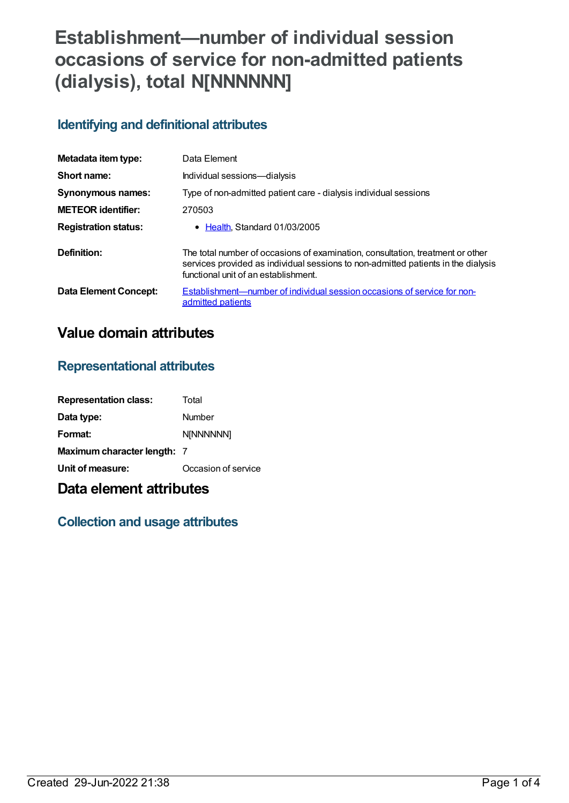# **Establishment—number of individual session occasions of service for non-admitted patients (dialysis), total N[NNNNNN]**

## **Identifying and definitional attributes**

| Metadata item type:         | Data Element                                                                                                                                                                                                |
|-----------------------------|-------------------------------------------------------------------------------------------------------------------------------------------------------------------------------------------------------------|
| Short name:                 | Individual sessions-dialysis                                                                                                                                                                                |
| Synonymous names:           | Type of non-admitted patient care - dialysis individual sessions                                                                                                                                            |
| <b>METEOR identifier:</b>   | 270503                                                                                                                                                                                                      |
| <b>Registration status:</b> | • Health Standard 01/03/2005                                                                                                                                                                                |
| Definition:                 | The total number of occasions of examination, consultation, treatment or other<br>services provided as individual sessions to non-admitted patients in the dialysis<br>functional unit of an establishment. |
| Data Element Concept:       | Establishment—number of individual session occasions of service for non-<br>admitted patients                                                                                                               |

# **Value domain attributes**

#### **Representational attributes**

| <b>Representation class:</b> | Total               |
|------------------------------|---------------------|
| Data type:                   | Number              |
| Format:                      | <b>N[NNNNNN]</b>    |
| Maximum character length: 7  |                     |
| Unit of measure:             | Occasion of service |

# **Data element attributes**

### **Collection and usage attributes**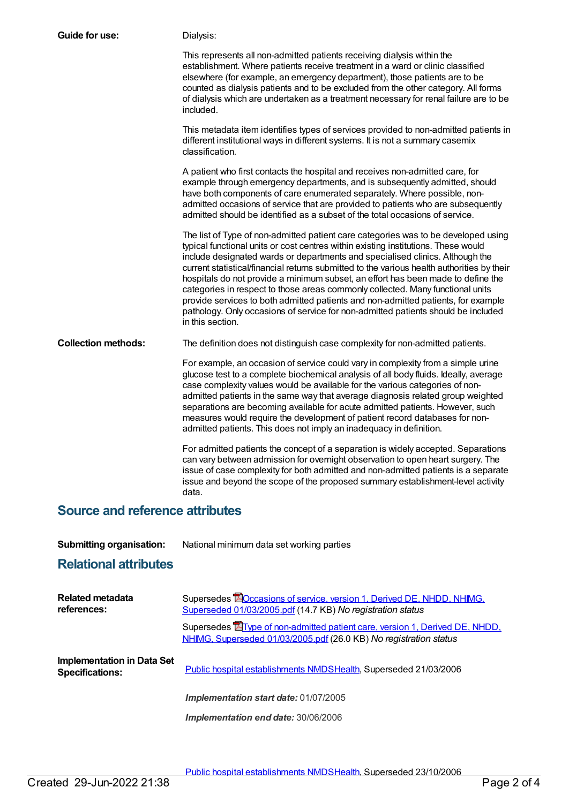| <b>Guide for use:</b>                  | Dialysis:                                                                                                                                                                                                                                                                                                                                                                                                                                                                                                                                                                                                                                                                                                                   |  |
|----------------------------------------|-----------------------------------------------------------------------------------------------------------------------------------------------------------------------------------------------------------------------------------------------------------------------------------------------------------------------------------------------------------------------------------------------------------------------------------------------------------------------------------------------------------------------------------------------------------------------------------------------------------------------------------------------------------------------------------------------------------------------------|--|
|                                        | This represents all non-admitted patients receiving dialysis within the<br>establishment. Where patients receive treatment in a ward or clinic classified<br>elsewhere (for example, an emergency department), those patients are to be<br>counted as dialysis patients and to be excluded from the other category. All forms<br>of dialysis which are undertaken as a treatment necessary for renal failure are to be<br>included.                                                                                                                                                                                                                                                                                         |  |
|                                        | This metadata item identifies types of services provided to non-admitted patients in<br>different institutional ways in different systems. It is not a summary casemix<br>classification.                                                                                                                                                                                                                                                                                                                                                                                                                                                                                                                                   |  |
|                                        | A patient who first contacts the hospital and receives non-admitted care, for<br>example through emergency departments, and is subsequently admitted, should<br>have both components of care enumerated separately. Where possible, non-<br>admitted occasions of service that are provided to patients who are subsequently<br>admitted should be identified as a subset of the total occasions of service.                                                                                                                                                                                                                                                                                                                |  |
|                                        | The list of Type of non-admitted patient care categories was to be developed using<br>typical functional units or cost centres within existing institutions. These would<br>include designated wards or departments and specialised clinics. Although the<br>current statistical/financial returns submitted to the various health authorities by their<br>hospitals do not provide a minimum subset, an effort has been made to define the<br>categories in respect to those areas commonly collected. Many functional units<br>provide services to both admitted patients and non-admitted patients, for example<br>pathology. Only occasions of service for non-admitted patients should be included<br>in this section. |  |
| <b>Collection methods:</b>             | The definition does not distinguish case complexity for non-admitted patients.                                                                                                                                                                                                                                                                                                                                                                                                                                                                                                                                                                                                                                              |  |
|                                        | For example, an occasion of service could vary in complexity from a simple urine<br>glucose test to a complete biochemical analysis of all body fluids. Ideally, average<br>case complexity values would be available for the various categories of non-<br>admitted patients in the same way that average diagnosis related group weighted<br>separations are becoming available for acute admitted patients. However, such<br>measures would require the development of patient record databases for non-<br>admitted patients. This does not imply an inadequacy in definition.                                                                                                                                          |  |
|                                        | For admitted patients the concept of a separation is widely accepted. Separations<br>can vary between admission for overnight observation to open heart surgery. The<br>issue of case complexity for both admitted and non-admitted patients is a separate<br>issue and beyond the scope of the proposed summary establishment-level activity<br>data.                                                                                                                                                                                                                                                                                                                                                                      |  |
| <b>Source and reference attributes</b> |                                                                                                                                                                                                                                                                                                                                                                                                                                                                                                                                                                                                                                                                                                                             |  |

| <b>Submitting organisation:</b> | National minimum data set working parties |
|---------------------------------|-------------------------------------------|
|                                 |                                           |

# **Relational attributes**

| <b>Related metadata</b><br>references:                      | Supersedes <b>EO</b> ccasions of service, version 1, Derived DE, NHDD, NHIMG,<br>Superseded 01/03/2005.pdf (14.7 KB) No registration status              |
|-------------------------------------------------------------|----------------------------------------------------------------------------------------------------------------------------------------------------------|
|                                                             | Supersedes <b>E</b> Type of non-admitted patient care, version 1, Derived DE, NHDD,<br>NHIMG, Superseded 01/03/2005.pdf (26.0 KB) No registration status |
| <b>Implementation in Data Set</b><br><b>Specifications:</b> | Public hospital establishments NMDSHealth, Superseded 21/03/2006                                                                                         |
|                                                             | Implementation start date: 01/07/2005                                                                                                                    |
|                                                             | Implementation end date: 30/06/2006                                                                                                                      |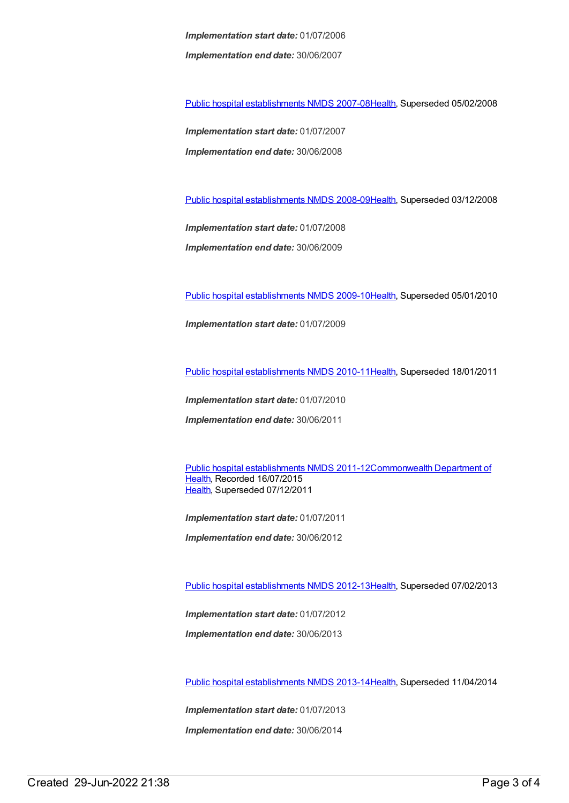*Implementation start date:* 01/07/2006 *Implementation end date:* 30/06/2007

Public hospital [establishments](https://meteor.aihw.gov.au/content/345139) NMDS 2007-08[Health](https://meteor.aihw.gov.au/RegistrationAuthority/12), Superseded 05/02/2008

*Implementation start date:* 01/07/2007 *Implementation end date:* 30/06/2008

Public hospital [establishments](https://meteor.aihw.gov.au/content/362302) NMDS 2008-09[Health](https://meteor.aihw.gov.au/RegistrationAuthority/12), Superseded 03/12/2008

*Implementation start date:* 01/07/2008 *Implementation end date:* 30/06/2009

Public hospital [establishments](https://meteor.aihw.gov.au/content/374924) NMDS 2009-10[Health](https://meteor.aihw.gov.au/RegistrationAuthority/12), Superseded 05/01/2010

*Implementation start date:* 01/07/2009

Public hospital [establishments](https://meteor.aihw.gov.au/content/386794) NMDS 2010-11[Health](https://meteor.aihw.gov.au/RegistrationAuthority/12), Superseded 18/01/2011

*Implementation start date:* 01/07/2010

*Implementation end date:* 30/06/2011

Public hospital [establishments](https://meteor.aihw.gov.au/content/426900) NMDS [2011-12Commonwealth](https://meteor.aihw.gov.au/RegistrationAuthority/10) Department of Health, Recorded 16/07/2015 [Health](https://meteor.aihw.gov.au/RegistrationAuthority/12), Superseded 07/12/2011

*Implementation start date:* 01/07/2011

*Implementation end date:* 30/06/2012

Public hospital [establishments](https://meteor.aihw.gov.au/content/470656) NMDS 2012-13[Health](https://meteor.aihw.gov.au/RegistrationAuthority/12), Superseded 07/02/2013

*Implementation start date:* 01/07/2012

*Implementation end date:* 30/06/2013

Public hospital [establishments](https://meteor.aihw.gov.au/content/504279) NMDS 2013-14[Health](https://meteor.aihw.gov.au/RegistrationAuthority/12), Superseded 11/04/2014

*Implementation start date:* 01/07/2013

*Implementation end date:* 30/06/2014